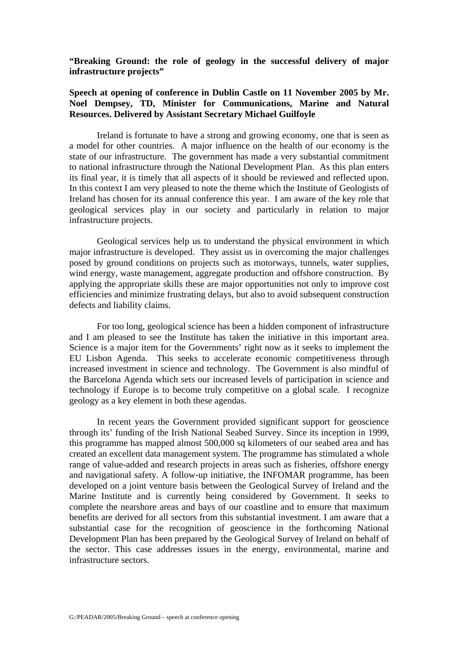**"Breaking Ground: the role of geology in the successful delivery of major infrastructure projects"** 

## **Speech at opening of conference in Dublin Castle on 11 November 2005 by Mr. Noel Dempsey, TD, Minister for Communications, Marine and Natural Resources. Delivered by Assistant Secretary Michael Guilfoyle**

 Ireland is fortunate to have a strong and growing economy, one that is seen as a model for other countries. A major influence on the health of our economy is the state of our infrastructure. The government has made a very substantial commitment to national infrastructure through the National Development Plan. As this plan enters its final year, it is timely that all aspects of it should be reviewed and reflected upon. In this context I am very pleased to note the theme which the Institute of Geologists of Ireland has chosen for its annual conference this year. I am aware of the key role that geological services play in our society and particularly in relation to major infrastructure projects.

 Geological services help us to understand the physical environment in which major infrastructure is developed. They assist us in overcoming the major challenges posed by ground conditions on projects such as motorways, tunnels, water supplies, wind energy, waste management, aggregate production and offshore construction. By applying the appropriate skills these are major opportunities not only to improve cost efficiencies and minimize frustrating delays, but also to avoid subsequent construction defects and liability claims.

 For too long, geological science has been a hidden component of infrastructure and I am pleased to see the Institute has taken the initiative in this important area. Science is a major item for the Governments' right now as it seeks to implement the EU Lisbon Agenda. This seeks to accelerate economic competitiveness through increased investment in science and technology. The Government is also mindful of the Barcelona Agenda which sets our increased levels of participation in science and technology if Europe is to become truly competitive on a global scale. I recognize geology as a key element in both these agendas.

In recent years the Government provided significant support for geoscience through its' funding of the Irish National Seabed Survey. Since its inception in 1999, this programme has mapped almost 500,000 sq kilometers of our seabed area and has created an excellent data management system. The programme has stimulated a whole range of value-added and research projects in areas such as fisheries, offshore energy and navigational safety. A follow-up initiative, the INFOMAR programme, has been developed on a joint venture basis between the Geological Survey of Ireland and the Marine Institute and is currently being considered by Government. It seeks to complete the nearshore areas and bays of our coastline and to ensure that maximum benefits are derived for all sectors from this substantial investment. I am aware that a substantial case for the recognition of geoscience in the forthcoming National Development Plan has been prepared by the Geological Survey of Ireland on behalf of the sector. This case addresses issues in the energy, environmental, marine and infrastructure sectors.